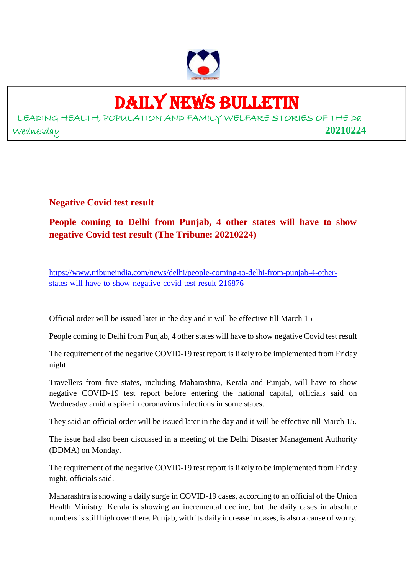

## DAILY NEWS BULLETIN

LEADING HEALTH, POPULATION AND FAMILY WELFARE STORIES OF THE Da Wednesday **20210224**

**Negative Covid test result**

**People coming to Delhi from Punjab, 4 other states will have to show negative Covid test result (The Tribune: 20210224)**

https://www.tribuneindia.com/news/delhi/people-coming-to-delhi-from-punjab-4-otherstates-will-have-to-show-negative-covid-test-result-216876

Official order will be issued later in the day and it will be effective till March 15

People coming to Delhi from Punjab, 4 other states will have to show negative Covid test result

The requirement of the negative COVID-19 test report is likely to be implemented from Friday night.

Travellers from five states, including Maharashtra, Kerala and Punjab, will have to show negative COVID-19 test report before entering the national capital, officials said on Wednesday amid a spike in coronavirus infections in some states.

They said an official order will be issued later in the day and it will be effective till March 15.

The issue had also been discussed in a meeting of the Delhi Disaster Management Authority (DDMA) on Monday.

The requirement of the negative COVID-19 test report is likely to be implemented from Friday night, officials said.

Maharashtra is showing a daily surge in COVID-19 cases, according to an official of the Union Health Ministry. Kerala is showing an incremental decline, but the daily cases in absolute numbers is still high over there. Punjab, with its daily increase in cases, is also a cause of worry.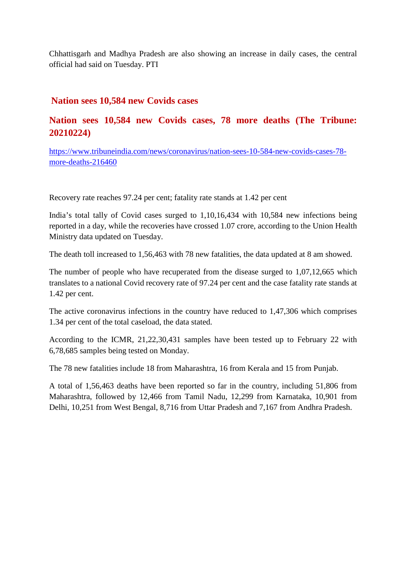Chhattisgarh and Madhya Pradesh are also showing an increase in daily cases, the central official had said on Tuesday. PTI

#### **Nation sees 10,584 new Covids cases**

#### **Nation sees 10,584 new Covids cases, 78 more deaths (The Tribune: 20210224)**

https://www.tribuneindia.com/news/coronavirus/nation-sees-10-584-new-covids-cases-78 more-deaths-216460

Recovery rate reaches 97.24 per cent; fatality rate stands at 1.42 per cent

India's total tally of Covid cases surged to 1,10,16,434 with 10,584 new infections being reported in a day, while the recoveries have crossed 1.07 crore, according to the Union Health Ministry data updated on Tuesday.

The death toll increased to 1,56,463 with 78 new fatalities, the data updated at 8 am showed.

The number of people who have recuperated from the disease surged to 1,07,12,665 which translates to a national Covid recovery rate of 97.24 per cent and the case fatality rate stands at 1.42 per cent.

The active coronavirus infections in the country have reduced to 1,47,306 which comprises 1.34 per cent of the total caseload, the data stated.

According to the ICMR, 21,22,30,431 samples have been tested up to February 22 with 6,78,685 samples being tested on Monday.

The 78 new fatalities include 18 from Maharashtra, 16 from Kerala and 15 from Punjab.

A total of 1,56,463 deaths have been reported so far in the country, including 51,806 from Maharashtra, followed by 12,466 from Tamil Nadu, 12,299 from Karnataka, 10,901 from Delhi, 10,251 from West Bengal, 8,716 from Uttar Pradesh and 7,167 from Andhra Pradesh.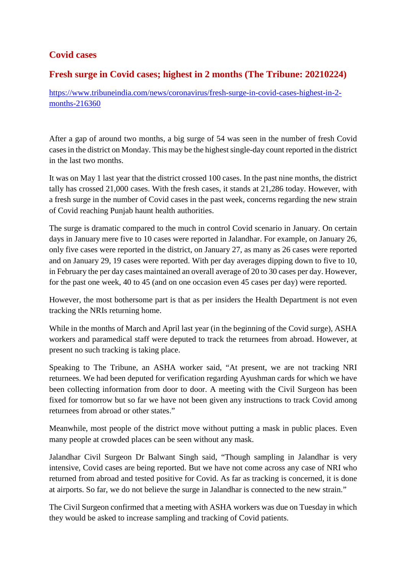#### **Covid cases**

#### **Fresh surge in Covid cases; highest in 2 months (The Tribune: 20210224)**

https://www.tribuneindia.com/news/coronavirus/fresh-surge-in-covid-cases-highest-in-2 months-216360

After a gap of around two months, a big surge of 54 was seen in the number of fresh Covid cases in the district on Monday. This may be the highest single-day count reported in the district in the last two months.

It was on May 1 last year that the district crossed 100 cases. In the past nine months, the district tally has crossed 21,000 cases. With the fresh cases, it stands at 21,286 today. However, with a fresh surge in the number of Covid cases in the past week, concerns regarding the new strain of Covid reaching Punjab haunt health authorities.

The surge is dramatic compared to the much in control Covid scenario in January. On certain days in January mere five to 10 cases were reported in Jalandhar. For example, on January 26, only five cases were reported in the district, on January 27, as many as 26 cases were reported and on January 29, 19 cases were reported. With per day averages dipping down to five to 10, in February the per day cases maintained an overall average of 20 to 30 cases per day. However, for the past one week, 40 to 45 (and on one occasion even 45 cases per day) were reported.

However, the most bothersome part is that as per insiders the Health Department is not even tracking the NRIs returning home.

While in the months of March and April last year (in the beginning of the Covid surge), ASHA workers and paramedical staff were deputed to track the returnees from abroad. However, at present no such tracking is taking place.

Speaking to The Tribune, an ASHA worker said, "At present, we are not tracking NRI returnees. We had been deputed for verification regarding Ayushman cards for which we have been collecting information from door to door. A meeting with the Civil Surgeon has been fixed for tomorrow but so far we have not been given any instructions to track Covid among returnees from abroad or other states."

Meanwhile, most people of the district move without putting a mask in public places. Even many people at crowded places can be seen without any mask.

Jalandhar Civil Surgeon Dr Balwant Singh said, "Though sampling in Jalandhar is very intensive, Covid cases are being reported. But we have not come across any case of NRI who returned from abroad and tested positive for Covid. As far as tracking is concerned, it is done at airports. So far, we do not believe the surge in Jalandhar is connected to the new strain."

The Civil Surgeon confirmed that a meeting with ASHA workers was due on Tuesday in which they would be asked to increase sampling and tracking of Covid patients.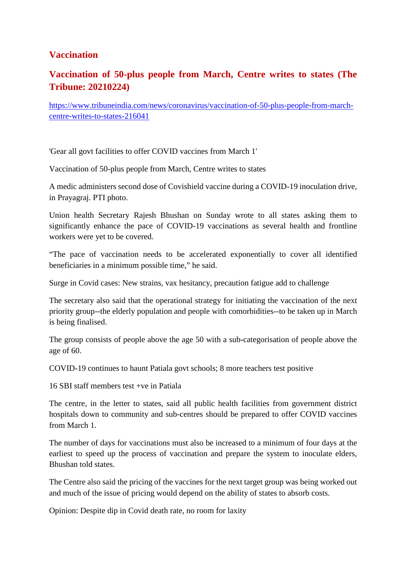#### **Vaccination**

#### **Vaccination of 50-plus people from March, Centre writes to states (The Tribune: 20210224)**

https://www.tribuneindia.com/news/coronavirus/vaccination-of-50-plus-people-from-marchcentre-writes-to-states-216041

'Gear all govt facilities to offer COVID vaccines from March 1'

Vaccination of 50-plus people from March, Centre writes to states

A medic administers second dose of Covishield vaccine during a COVID-19 inoculation drive, in Prayagraj. PTI photo.

Union health Secretary Rajesh Bhushan on Sunday wrote to all states asking them to significantly enhance the pace of COVID-19 vaccinations as several health and frontline workers were yet to be covered.

"The pace of vaccination needs to be accelerated exponentially to cover all identified beneficiaries in a minimum possible time," he said.

Surge in Covid cases: New strains, vax hesitancy, precaution fatigue add to challenge

The secretary also said that the operational strategy for initiating the vaccination of the next priority group--the elderly population and people with comorbidities--to be taken up in March is being finalised.

The group consists of people above the age 50 with a sub-categorisation of people above the age of 60.

COVID-19 continues to haunt Patiala govt schools; 8 more teachers test positive

16 SBI staff members test +ve in Patiala

The centre, in the letter to states, said all public health facilities from government district hospitals down to community and sub-centres should be prepared to offer COVID vaccines from March 1.

The number of days for vaccinations must also be increased to a minimum of four days at the earliest to speed up the process of vaccination and prepare the system to inoculate elders, Bhushan told states.

The Centre also said the pricing of the vaccines for the next target group was being worked out and much of the issue of pricing would depend on the ability of states to absorb costs.

Opinion: Despite dip in Covid death rate, no room for laxity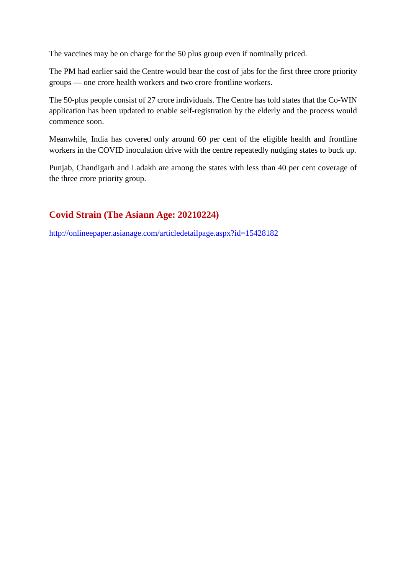The vaccines may be on charge for the 50 plus group even if nominally priced.

The PM had earlier said the Centre would bear the cost of jabs for the first three crore priority groups — one crore health workers and two crore frontline workers.

The 50-plus people consist of 27 crore individuals. The Centre has told states that the Co-WIN application has been updated to enable self-registration by the elderly and the process would commence soon.

Meanwhile, India has covered only around 60 per cent of the eligible health and frontline workers in the COVID inoculation drive with the centre repeatedly nudging states to buck up.

Punjab, Chandigarh and Ladakh are among the states with less than 40 per cent coverage of the three crore priority group.

#### **Covid Strain (The Asiann Age: 20210224)**

http://onlineepaper.asianage.com/articledetailpage.aspx?id=15428182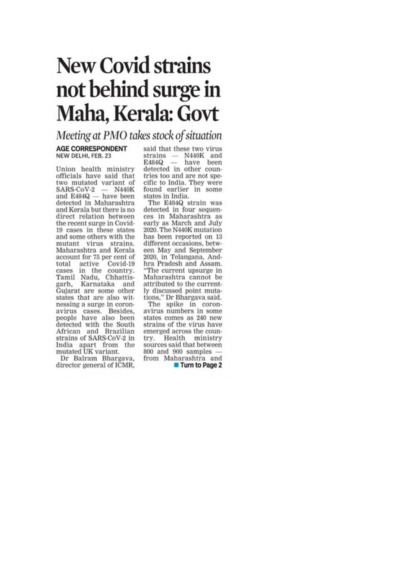## **New Covid strains** not behind surge in Maha, Kerala: Govt

### Meeting at PMO takes stock of situation

#### **AGE CORRESPONDENT** NEW DELHI, FEB. 23

Union health ministry officials have said that two mutated variant of  $SARS-CoV-2$  - N440K and E484Q - have been<br>detected in Maharashtra and Kerala but there is no direct relation between the recent surge in Covid-19 cases in these states and some others with the mutant virus strains. Maharashtra and Kerala account for 75 per cent of active Covid-19 total cases in the country. Tamil Nadu, Chhattisgarh, Karnataka and Gujarat are some other states that are also witnessing a surge in coronavirus cases. Besides,<br>people have also been detected with the South African and Brazilian strains of SARS-CoV-2 in India apart from the mutated UK variant.

Dr Balram Bhargava, director general of ICMR, said that these two virus strains - N440K and  $E484Q$  - have been detected in other countries too and are not specific to India. They were found earlier in some states in India.

The E484Q strain was detected in four sequences in Maharashtra as early as March and July 2020. The N440K mutation has been reported on 13 different occasions, between May and September 2020, in Telangana, Andhra Pradesh and Assam. "The current upsurge in Maharashtra cannot be attributed to the currently discussed point mutations," Dr Bhargava said.

The spike in coronavirus numbers in some states comes as 240 new strains of the virus have emerged across the country. Health ministry sources said that between 800 and 900 samples from Maharashtra and

Turn to Page 2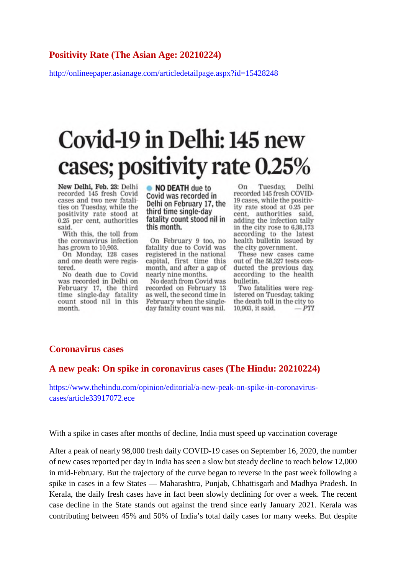#### **Positivity Rate (The Asian Age: 20210224)**

http://onlineepaper.asianage.com/articledetailpage.aspx?id=15428248

## Covid-19 in Delhi: 145 new cases; positivity rate 0.25%

New Delhi, Feb. 23: Delhi recorded 145 fresh Covid cases and two new fatalities on Tuesday, while the positivity rate stood at 0.25 per cent, authorities said.

With this, the toll from the coronavirus infection has grown to 10,903.

On Monday, 128 cases and one death were registered.

No death due to Covid was recorded in Delhi on February 17, the third time single-day fatality<br>count stood nil in this month.

• NO DEATH due to Covid was recorded in Delhi on February 17, the third time single-day fatality count stood nil in this month.

On February 9 too, no fatality due to Covid was registered in the national capital, first time this month, and after a gap of nearly nine months.

No death from Covid was recorded on February 13 as well, the second time in February when the singleday fatality count was nil.

On Tuesday, Delhi recorded 145 fresh COVID-19 cases, while the positivity rate stood at 0.25 per cent, authorities said. adding the infection tally in the city rose to 6,38,173 according to the latest health bulletin issued by the city government.

These new cases came out of the 58,327 tests conducted the previous day, according to the health bulletin.

Two fatalities were registered on Tuesday, taking the death toll in the city to 10,903, it said.  $-PTI$ 

#### **Coronavirus cases**

#### **A new peak: On spike in coronavirus cases (The Hindu: 20210224)**

https://www.thehindu.com/opinion/editorial/a-new-peak-on-spike-in-coronaviruscases/article33917072.ece

With a spike in cases after months of decline, India must speed up vaccination coverage

After a peak of nearly 98,000 fresh daily COVID-19 cases on September 16, 2020, the number of new cases reported per day in India has seen a slow but steady decline to reach below 12,000 in mid-February. But the trajectory of the curve began to reverse in the past week following a spike in cases in a few States — Maharashtra, Punjab, Chhattisgarh and Madhya Pradesh. In Kerala, the daily fresh cases have in fact been slowly declining for over a week. The recent case decline in the State stands out against the trend since early January 2021. Kerala was contributing between 45% and 50% of India's total daily cases for many weeks. But despite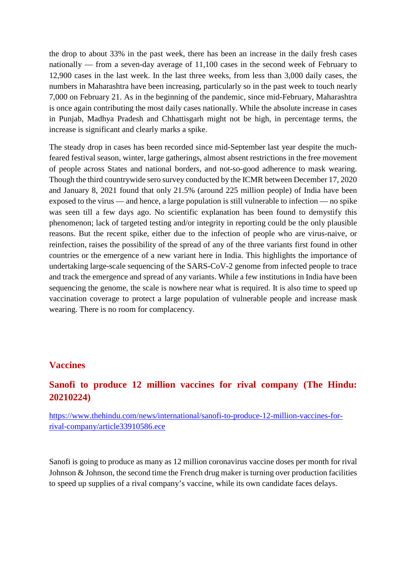the drop to about 33% in the past week, there has been an increase in the daily fresh cases nationally — from a seven-day average of 11,100 cases in the second week of February to 12,900 cases in the last week. In the last three weeks, from less than 3,000 daily cases, the numbers in Maharashtra have been increasing, particularly so in the past week to touch nearly 7,000 on February 21. As in the beginning of the pandemic, since mid-February, Maharashtra is once again contributing the most daily cases nationally. While the absolute increase in cases in Punjab, Madhya Pradesh and Chhattisgarh might not be high, in percentage terms, the increase is significant and clearly marks a spike.

The steady drop in cases has been recorded since mid-September last year despite the muchfeared festival season, winter, large gatherings, almost absent restrictions in the free movement of people across States and national borders, and not-so-good adherence to mask wearing. Though the third countrywide sero survey conducted by the ICMR between December 17, 2020 and January 8, 2021 found that only 21.5% (around 225 million people) of India have been exposed to the virus — and hence, a large population is still vulnerable to infection — no spike was seen till a few days ago. No scientific explanation has been found to demystify this phenomenon; lack of targeted testing and/or integrity in reporting could be the only plausible reasons. But the recent spike, either due to the infection of people who are virus-naive, or reinfection, raises the possibility of the spread of any of the three variants first found in other countries or the emergence of a new variant here in India. This highlights the importance of undertaking large-scale sequencing of the SARS-CoV-2 genome from infected people to trace and track the emergence and spread of any variants. While a few institutions in India have been sequencing the genome, the scale is nowhere near what is required. It is also time to speed up vaccination coverage to protect a large population of vulnerable people and increase mask wearing. There is no room for complacency.

#### **Vaccines**

#### **Sanofi to produce 12 million vaccines for rival company (The Hindu: 20210224)**

https://www.thehindu.com/news/international/sanofi-to-produce-12-million-vaccines-forrival-company/article33910586.ece

Sanofi is going to produce as many as 12 million coronavirus vaccine doses per month for rival Johnson & Johnson, the second time the French drug maker is turning over production facilities to speed up supplies of a rival company's vaccine, while its own candidate faces delays.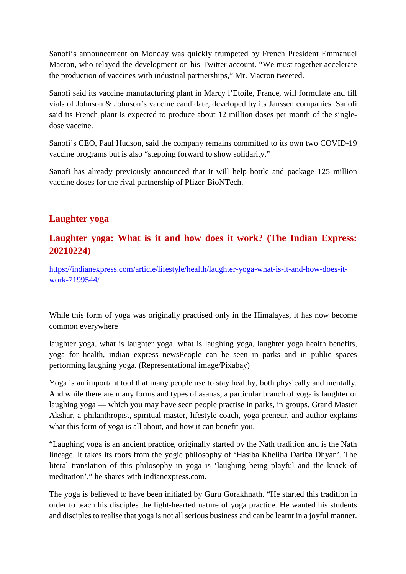Sanofi's announcement on Monday was quickly trumpeted by French President Emmanuel Macron, who relayed the development on his Twitter account. "We must together accelerate the production of vaccines with industrial partnerships," Mr. Macron tweeted.

Sanofi said its vaccine manufacturing plant in Marcy l'Etoile, France, will formulate and fill vials of Johnson & Johnson's vaccine candidate, developed by its Janssen companies. Sanofi said its French plant is expected to produce about 12 million doses per month of the singledose vaccine.

Sanofi's CEO, Paul Hudson, said the company remains committed to its own two COVID-19 vaccine programs but is also "stepping forward to show solidarity."

Sanofi has already previously announced that it will help bottle and package 125 million vaccine doses for the rival partnership of Pfizer-BioNTech.

#### **Laughter yoga**

#### **Laughter yoga: What is it and how does it work? (The Indian Express: 20210224)**

https://indianexpress.com/article/lifestyle/health/laughter-yoga-what-is-it-and-how-does-itwork-7199544/

While this form of yoga was originally practised only in the Himalayas, it has now become common everywhere

laughter yoga, what is laughter yoga, what is laughing yoga, laughter yoga health benefits, yoga for health, indian express newsPeople can be seen in parks and in public spaces performing laughing yoga. (Representational image/Pixabay)

Yoga is an important tool that many people use to stay healthy, both physically and mentally. And while there are many forms and types of asanas, a particular branch of yoga is laughter or laughing yoga — which you may have seen people practise in parks, in groups. Grand Master Akshar, a philanthropist, spiritual master, lifestyle coach, yoga-preneur, and author explains what this form of yoga is all about, and how it can benefit you.

"Laughing yoga is an ancient practice, originally started by the Nath tradition and is the Nath lineage. It takes its roots from the yogic philosophy of 'Hasiba Kheliba Dariba Dhyan'. The literal translation of this philosophy in yoga is 'laughing being playful and the knack of meditation'," he shares with indianexpress.com.

The yoga is believed to have been initiated by Guru Gorakhnath. "He started this tradition in order to teach his disciples the light-hearted nature of yoga practice. He wanted his students and disciples to realise that yoga is not all serious business and can be learnt in a joyful manner.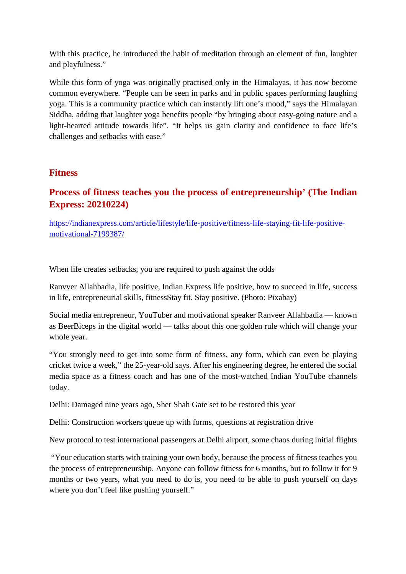With this practice, he introduced the habit of meditation through an element of fun, laughter and playfulness."

While this form of yoga was originally practised only in the Himalayas, it has now become common everywhere. "People can be seen in parks and in public spaces performing laughing yoga. This is a community practice which can instantly lift one's mood," says the Himalayan Siddha, adding that laughter yoga benefits people "by bringing about easy-going nature and a light-hearted attitude towards life". "It helps us gain clarity and confidence to face life's challenges and setbacks with ease."

#### **Fitness**

#### **Process of fitness teaches you the process of entrepreneurship' (The Indian Express: 20210224)**

https://indianexpress.com/article/lifestyle/life-positive/fitness-life-staying-fit-life-positivemotivational-7199387/

When life creates setbacks, you are required to push against the odds

Ranvver Allahbadia, life positive, Indian Express life positive, how to succeed in life, success in life, entrepreneurial skills, fitnessStay fit. Stay positive. (Photo: Pixabay)

Social media entrepreneur, YouTuber and motivational speaker Ranveer Allahbadia — known as BeerBiceps in the digital world — talks about this one golden rule which will change your whole year.

"You strongly need to get into some form of fitness, any form, which can even be playing cricket twice a week," the 25-year-old says. After his engineering degree, he entered the social media space as a fitness coach and has one of the most-watched Indian YouTube channels today.

Delhi: Damaged nine years ago, Sher Shah Gate set to be restored this year

Delhi: Construction workers queue up with forms, questions at registration drive

New protocol to test international passengers at Delhi airport, some chaos during initial flights

"Your education starts with training your own body, because the process of fitness teaches you the process of entrepreneurship. Anyone can follow fitness for 6 months, but to follow it for 9 months or two years, what you need to do is, you need to be able to push yourself on days where you don't feel like pushing yourself."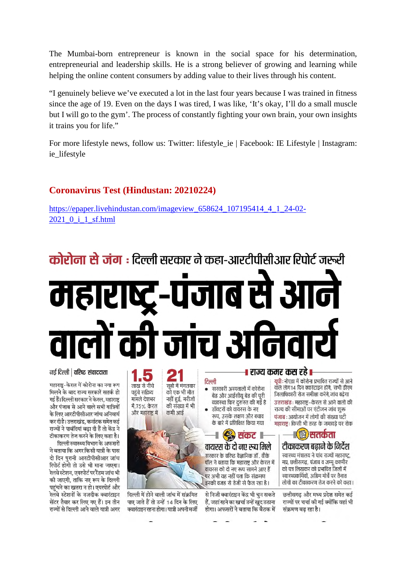The Mumbai-born entrepreneur is known in the social space for his determination, entrepreneurial and leadership skills. He is a strong believer of growing and learning while helping the online content consumers by adding value to their lives through his content.

"I genuinely believe we've executed a lot in the last four years because I was trained in fitness since the age of 19. Even on the days I was tired, I was like, 'It's okay, I'll do a small muscle but I will go to the gym'. The process of constantly fighting your own brain, your own insights it trains you for life."

For more lifestyle news, follow us: Twitter: lifestyle\_ie | Facebook: IE Lifestyle | Instagram: ie lifestyle

#### **Coronavirus Test (Hindustan: 20210224)**

https://epaper.livehindustan.com/imageview\_658624\_107195414\_4\_1\_24-02- 2021\_0\_i\_1\_sf.html

## **कोरोना से जंग** : दिल्ली सरकार ने कहा-आरटीपीसीआर रिपोर्ट जरूरी ाब स I R 1517



हैं. जहां रहने का खर्चा उन्हें खद उठाना

होगा। अफसरों ने बताया कि बैठक में

छत्तीसगढ़ और मध्य प्रदेश समेत कई राज्यों पर चर्चा की गई क्योंकि वहां भी संक्रमण बढ रहा है।

महाराष्ट्र-केरल में कोरोना का नया रूप मिलने के बाद राज्य सरकारें सतर्क हो गई हैं। दिल्ली सरकार ने केरल, महाराष्ट और पंजाब से आने वाले सभी यात्रियों के लिए आरटीपीसीआर जांच अनिवार्य कर दी है। उत्तराखंड, कर्नाटक समेत कई राज्यों ने पाबंदियां बढ़ा दी हैं तो केंद्र ने

नई दिल्ली | वरिष्ट संवाददाता

टीकाकरण तेज करने के लिए कहा है। दिल्ली स्वास्थ्य विभाग के अफसरों ने बताया कि अगर किसी यात्री के पास दो दिन पुरानी आरटीपीसीआर जांच रिपोर्ट होगी तो उसे भी माना जाएगा।

रेलवे स्टेशन, एयरपोर्ट पर रैंडम जांच भी की जाएगी, ताकि नए रूप के दिल्ली पहुंचने का खतरा न हो। एयरपोर्ट और रेलवे स्टेशनों के नजदीक क्वारंटाइन सेंटर तैयार कर लिए गए हैं। इन तीन राज्यों से दिल्ली आने वाले यात्री अगर

दिल्ली में होने वाली जांच में संक्रमित पाए जाते हैं तो उन्हें 14 दिन के लिए क्वारंटाइन रहना होगा। यात्री अपनी मर्जी